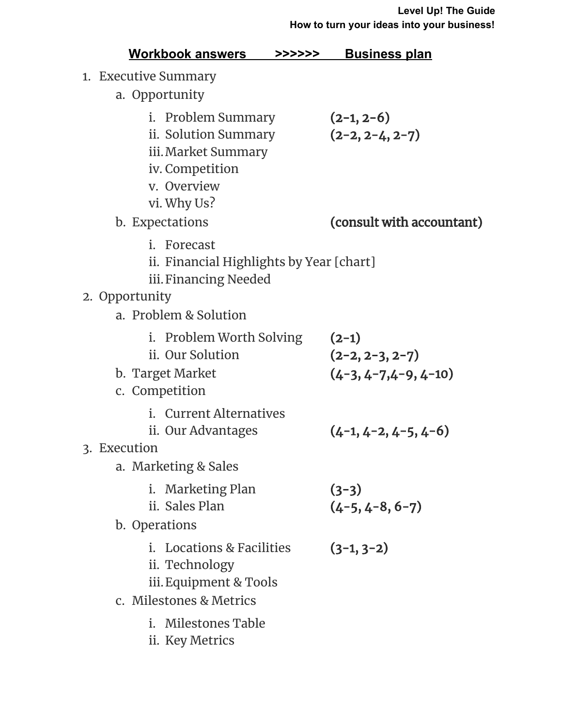| <u>Workbook answers</u>                                                                                            | <b>Business plan</b><br>>>>>>>                          |  |  |  |  |
|--------------------------------------------------------------------------------------------------------------------|---------------------------------------------------------|--|--|--|--|
| 1. Executive Summary                                                                                               |                                                         |  |  |  |  |
| a. Opportunity                                                                                                     |                                                         |  |  |  |  |
| i. Problem Summary<br>ii. Solution Summary<br>iii. Market Summary<br>iv. Competition<br>v. Overview<br>vi. Why Us? | $(2-1, 2-6)$<br>$(2-2, 2-4, 2-7)$                       |  |  |  |  |
| b. Expectations                                                                                                    | (consult with accountant)                               |  |  |  |  |
| i. Forecast<br>ii. Financial Highlights by Year [chart]<br>iii. Financing Needed                                   |                                                         |  |  |  |  |
| 2. Opportunity<br>a. Problem & Solution                                                                            |                                                         |  |  |  |  |
| i. Problem Worth Solving<br>ii. Our Solution<br>b. Target Market<br>c. Competition                                 | $(2-1)$<br>$(2-2, 2-3, 2-7)$<br>$(4-3, 4-7, 4-9, 4-10)$ |  |  |  |  |
| i. Current Alternatives<br>ii. Our Advantages                                                                      | $(4-1, 4-2, 4-5, 4-6)$                                  |  |  |  |  |
| 3. Execution                                                                                                       |                                                         |  |  |  |  |
| a. Marketing & Sales<br>i. Marketing Plan<br>ii. Sales Plan<br>b. Operations                                       | $(3-3)$<br>$(4-5, 4-8, 6-7)$                            |  |  |  |  |
| i. Locations & Facilities<br>ii. Technology<br>iii. Equipment & Tools<br>c. Milestones & Metrics                   | $(3-1, 3-2)$                                            |  |  |  |  |
| i. Milestones Table<br>ii. Key Metrics                                                                             |                                                         |  |  |  |  |